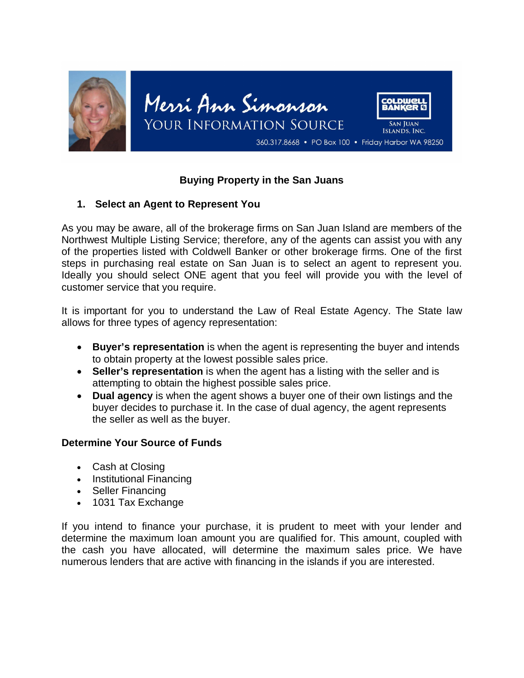

# **Buying Property in the San Juans**

# **1. Select an Agent to Represent You**

As you may be aware, all of the brokerage firms on San Juan Island are members of the Northwest Multiple Listing Service; therefore, any of the agents can assist you with any of the properties listed with Coldwell Banker or other brokerage firms. One of the first steps in purchasing real estate on San Juan is to select an agent to represent you. Ideally you should select ONE agent that you feel will provide you with the level of customer service that you require.

It is important for you to understand the Law of Real Estate Agency. The State law allows for three types of agency representation:

- **Buyer's representation** is when the agent is representing the buyer and intends to obtain property at the lowest possible sales price.
- **Seller's representation** is when the agent has a listing with the seller and is attempting to obtain the highest possible sales price.
- **Dual agency** is when the agent shows a buyer one of their own listings and the buyer decides to purchase it. In the case of dual agency, the agent represents the seller as well as the buyer.

# **Determine Your Source of Funds**

- Cash at Closing
- Institutional Financing
- Seller Financing
- 1031 Tax Exchange

If you intend to finance your purchase, it is prudent to meet with your lender and determine the maximum loan amount you are qualified for. This amount, coupled with the cash you have allocated, will determine the maximum sales price. We have numerous lenders that are active with financing in the islands if you are interested.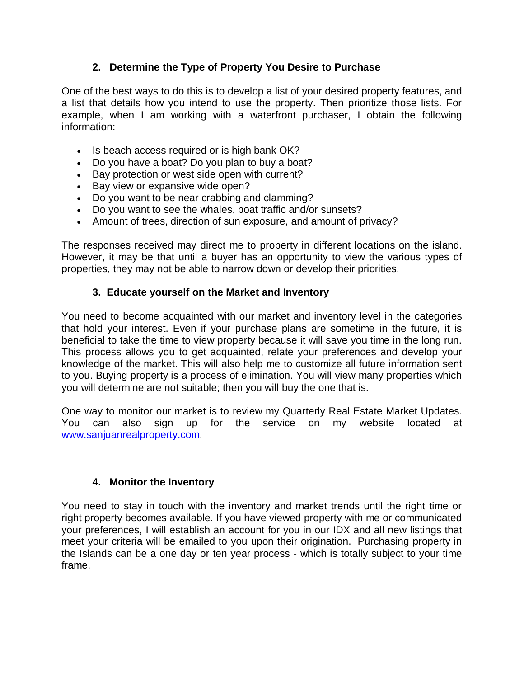# **2. Determine the Type of Property You Desire to Purchase**

One of the best ways to do this is to develop a list of your desired property features, and a list that details how you intend to use the property. Then prioritize those lists. For example, when I am working with a waterfront purchaser, I obtain the following information:

- Is beach access required or is high bank OK?
- Do you have a boat? Do you plan to buy a boat?
- Bay protection or west side open with current?
- Bay view or expansive wide open?
- Do you want to be near crabbing and clamming?
- Do you want to see the whales, boat traffic and/or sunsets?
- Amount of trees, direction of sun exposure, and amount of privacy?

The responses received may direct me to property in different locations on the island. However, it may be that until a buyer has an opportunity to view the various types of properties, they may not be able to narrow down or develop their priorities.

# **3. Educate yourself on the Market and Inventory**

You need to become acquainted with our market and inventory level in the categories that hold your interest. Even if your purchase plans are sometime in the future, it is beneficial to take the time to view property because it will save you time in the long run. This process allows you to get acquainted, relate your preferences and develop your knowledge of the market. This will also help me to customize all future information sent to you. Buying property is a process of elimination. You will view many properties which you will determine are not suitable; then you will buy the one that is.

One way to monitor our market is to review my Quarterly Real Estate Market Updates. You can also sign up for the service on my website located at www.sanjuanrealproperty.com.

# **4. Monitor the Inventory**

You need to stay in touch with the inventory and market trends until the right time or right property becomes available. If you have viewed property with me or communicated your preferences, I will establish an account for you in our IDX and all new listings that meet your criteria will be emailed to you upon their origination. Purchasing property in the Islands can be a one day or ten year process - which is totally subject to your time frame.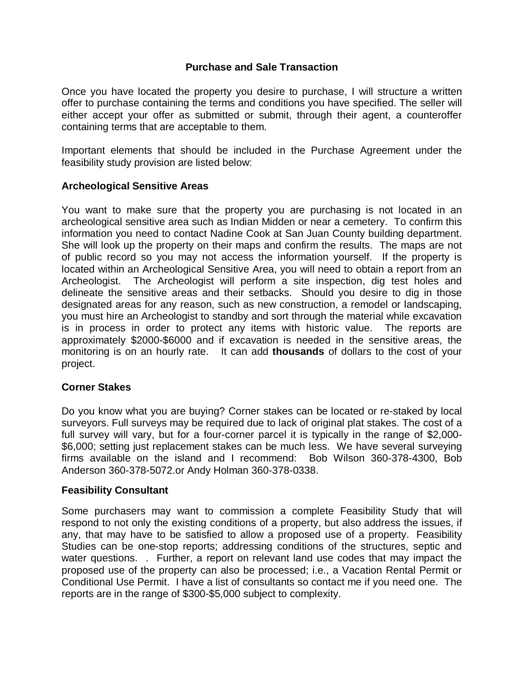# **Purchase and Sale Transaction**

Once you have located the property you desire to purchase, I will structure a written offer to purchase containing the terms and conditions you have specified. The seller will either accept your offer as submitted or submit, through their agent, a counteroffer containing terms that are acceptable to them.

Important elements that should be included in the Purchase Agreement under the feasibility study provision are listed below:

# **Archeological Sensitive Areas**

You want to make sure that the property you are purchasing is not located in an archeological sensitive area such as Indian Midden or near a cemetery. To confirm this information you need to contact Nadine Cook at San Juan County building department. She will look up the property on their maps and confirm the results. The maps are not of public record so you may not access the information yourself. If the property is located within an Archeological Sensitive Area, you will need to obtain a report from an Archeologist. The Archeologist will perform a site inspection, dig test holes and delineate the sensitive areas and their setbacks. Should you desire to dig in those designated areas for any reason, such as new construction, a remodel or landscaping, you must hire an Archeologist to standby and sort through the material while excavation is in process in order to protect any items with historic value. The reports are approximately \$2000-\$6000 and if excavation is needed in the sensitive areas, the monitoring is on an hourly rate. It can add **thousands** of dollars to the cost of your project.

# **Corner Stakes**

Do you know what you are buying? Corner stakes can be located or re-staked by local surveyors. Full surveys may be required due to lack of original plat stakes. The cost of a full survey will vary, but for a four-corner parcel it is typically in the range of \$2,000- \$6,000; setting just replacement stakes can be much less. We have several surveying firms available on the island and I recommend: Bob Wilson 360-378-4300, Bob Anderson 360-378-5072.or Andy Holman 360-378-0338.

# **Feasibility Consultant**

Some purchasers may want to commission a complete Feasibility Study that will respond to not only the existing conditions of a property, but also address the issues, if any, that may have to be satisfied to allow a proposed use of a property. Feasibility Studies can be one-stop reports; addressing conditions of the structures, septic and water questions. . Further, a report on relevant land use codes that may impact the proposed use of the property can also be processed; i.e., a Vacation Rental Permit or Conditional Use Permit. I have a list of consultants so contact me if you need one. The reports are in the range of \$300-\$5,000 subject to complexity.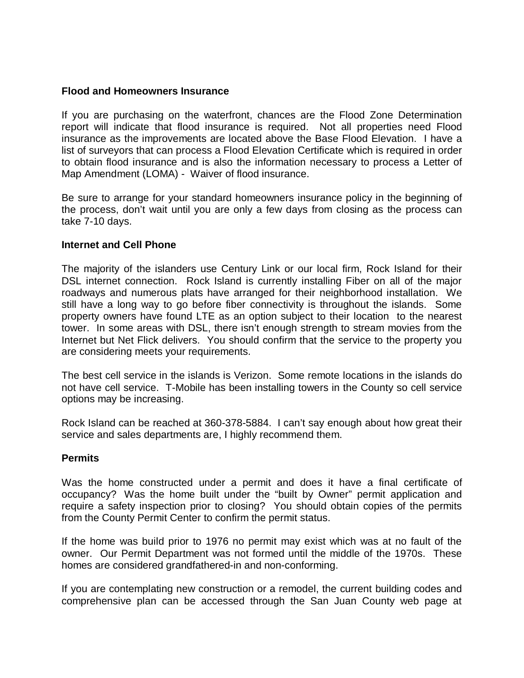# **Flood and Homeowners Insurance**

If you are purchasing on the waterfront, chances are the Flood Zone Determination report will indicate that flood insurance is required. Not all properties need Flood insurance as the improvements are located above the Base Flood Elevation. I have a list of surveyors that can process a Flood Elevation Certificate which is required in order to obtain flood insurance and is also the information necessary to process a Letter of Map Amendment (LOMA) - Waiver of flood insurance.

Be sure to arrange for your standard homeowners insurance policy in the beginning of the process, don't wait until you are only a few days from closing as the process can take 7-10 days.

#### **Internet and Cell Phone**

The majority of the islanders use Century Link or our local firm, Rock Island for their DSL internet connection. Rock Island is currently installing Fiber on all of the major roadways and numerous plats have arranged for their neighborhood installation. We still have a long way to go before fiber connectivity is throughout the islands. Some property owners have found LTE as an option subject to their location to the nearest tower. In some areas with DSL, there isn't enough strength to stream movies from the Internet but Net Flick delivers. You should confirm that the service to the property you are considering meets your requirements.

The best cell service in the islands is Verizon. Some remote locations in the islands do not have cell service. T-Mobile has been installing towers in the County so cell service options may be increasing.

Rock Island can be reached at 360-378-5884. I can't say enough about how great their service and sales departments are, I highly recommend them.

#### **Permits**

Was the home constructed under a permit and does it have a final certificate of occupancy? Was the home built under the "built by Owner" permit application and require a safety inspection prior to closing? You should obtain copies of the permits from the County Permit Center to confirm the permit status.

If the home was build prior to 1976 no permit may exist which was at no fault of the owner. Our Permit Department was not formed until the middle of the 1970s. These homes are considered grandfathered-in and non-conforming.

If you are contemplating new construction or a remodel, the current building codes and comprehensive plan can be accessed through the San Juan County web page at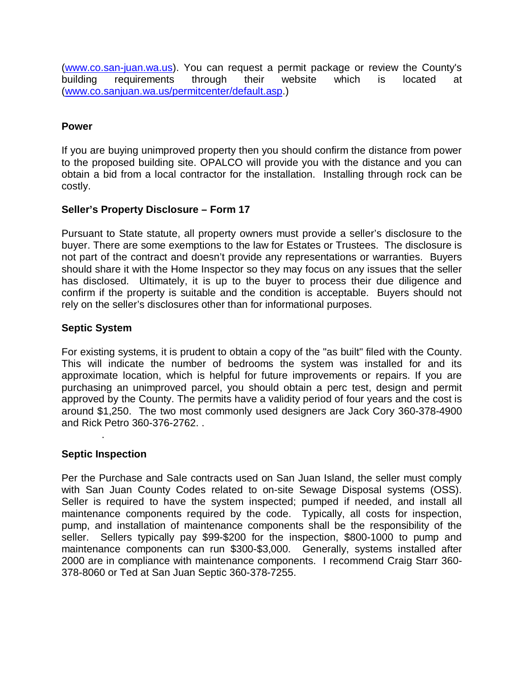(www.co.san-juan.wa.us). You can request a permit package or review the County's building requirements through their website which is located at (www.co.sanjuan.wa.us/permitcenter/default.asp.)

# **Power**

If you are buying unimproved property then you should confirm the distance from power to the proposed building site. OPALCO will provide you with the distance and you can obtain a bid from a local contractor for the installation. Installing through rock can be costly.

# **Seller's Property Disclosure – Form 17**

Pursuant to State statute, all property owners must provide a seller's disclosure to the buyer. There are some exemptions to the law for Estates or Trustees. The disclosure is not part of the contract and doesn't provide any representations or warranties. Buyers should share it with the Home Inspector so they may focus on any issues that the seller has disclosed. Ultimately, it is up to the buyer to process their due diligence and confirm if the property is suitable and the condition is acceptable. Buyers should not rely on the seller's disclosures other than for informational purposes.

# **Septic System**

For existing systems, it is prudent to obtain a copy of the "as built" filed with the County. This will indicate the number of bedrooms the system was installed for and its approximate location, which is helpful for future improvements or repairs. If you are purchasing an unimproved parcel, you should obtain a perc test, design and permit approved by the County. The permits have a validity period of four years and the cost is around \$1,250. The two most commonly used designers are Jack Cory 360-378-4900 and Rick Petro 360-376-2762. .

# **Septic Inspection**

.

Per the Purchase and Sale contracts used on San Juan Island, the seller must comply with San Juan County Codes related to on-site Sewage Disposal systems (OSS). Seller is required to have the system inspected; pumped if needed, and install all maintenance components required by the code. Typically, all costs for inspection, pump, and installation of maintenance components shall be the responsibility of the seller. Sellers typically pay \$99-\$200 for the inspection, \$800-1000 to pump and maintenance components can run \$300-\$3,000. Generally, systems installed after 2000 are in compliance with maintenance components. I recommend Craig Starr 360- 378-8060 or Ted at San Juan Septic 360-378-7255.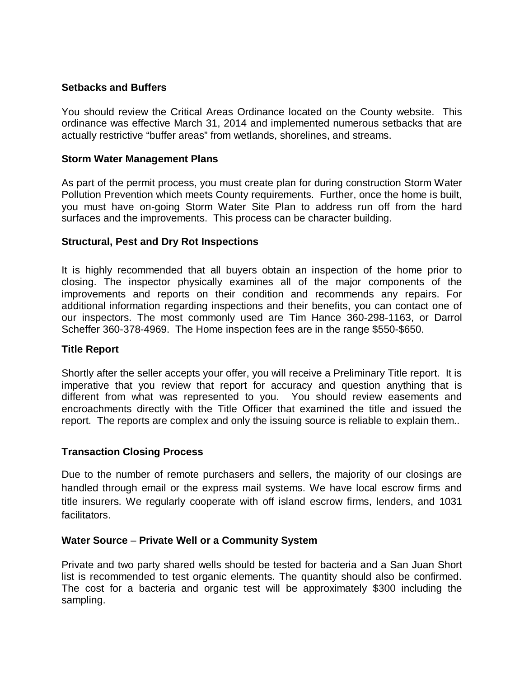# **Setbacks and Buffers**

You should review the Critical Areas Ordinance located on the County website. This ordinance was effective March 31, 2014 and implemented numerous setbacks that are actually restrictive "buffer areas" from wetlands, shorelines, and streams.

# **Storm Water Management Plans**

As part of the permit process, you must create plan for during construction Storm Water Pollution Prevention which meets County requirements. Further, once the home is built, you must have on-going Storm Water Site Plan to address run off from the hard surfaces and the improvements. This process can be character building.

# **Structural, Pest and Dry Rot Inspections**

It is highly recommended that all buyers obtain an inspection of the home prior to closing. The inspector physically examines all of the major components of the improvements and reports on their condition and recommends any repairs. For additional information regarding inspections and their benefits, you can contact one of our inspectors. The most commonly used are Tim Hance 360-298-1163, or Darrol Scheffer 360-378-4969. The Home inspection fees are in the range \$550-\$650.

# **Title Report**

Shortly after the seller accepts your offer, you will receive a Preliminary Title report. It is imperative that you review that report for accuracy and question anything that is different from what was represented to you. You should review easements and encroachments directly with the Title Officer that examined the title and issued the report. The reports are complex and only the issuing source is reliable to explain them..

# **Transaction Closing Process**

Due to the number of remote purchasers and sellers, the majority of our closings are handled through email or the express mail systems. We have local escrow firms and title insurers. We regularly cooperate with off island escrow firms, lenders, and 1031 facilitators.

# **Water Source** – **Private Well or a Community System**

Private and two party shared wells should be tested for bacteria and a San Juan Short list is recommended to test organic elements. The quantity should also be confirmed. The cost for a bacteria and organic test will be approximately \$300 including the sampling.